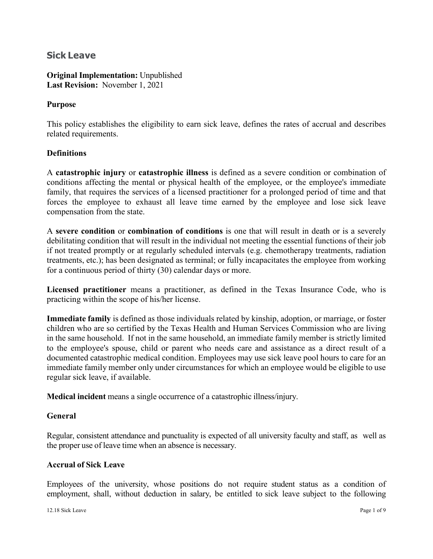# **Sick Leave**

**Original Implementation:** Unpublished **Last Revision:** November 1, 2021

### **Purpose**

This policy establishes the eligibility to earn sick leave, defines the rates of accrual and describes related requirements.

## **Definitions**

A **catastrophic injury** or **catastrophic illness** is defined as a severe condition or combination of conditions affecting the mental or physical health of the employee, or the employee's immediate family, that requires the services of a licensed practitioner for a prolonged period of time and that forces the employee to exhaust all leave time earned by the employee and lose sick leave compensation from the state.

A **severe condition** or **combination of conditions** is one that will result in death or is a severely debilitating condition that will result in the individual not meeting the essential functions of their job if not treated promptly or at regularly scheduled intervals (e.g. chemotherapy treatments, radiation treatments, etc.); has been designated as terminal; or fully incapacitates the employee from working for a continuous period of thirty (30) calendar days or more.

**Licensed practitioner** means a practitioner, as defined in the Texas Insurance Code, who is practicing within the scope of his/her license.

**Immediate family** is defined as those individuals related by kinship, adoption, or marriage, or foster children who are so certified by the Texas Health and Human Services Commission who are living in the same household. If not in the same household, an immediate family member is strictly limited to the employee's spouse, child or parent who needs care and assistance as a direct result of a documented catastrophic medical condition. Employees may use sick leave pool hours to care for an immediate family member only under circumstances for which an employee would be eligible to use regular sick leave, if available.

**Medical incident** means a single occurrence of a catastrophic illness/injury.

#### **General**

Regular, consistent attendance and punctuality is expected of all university faculty and staff, as well as the proper use of leave time when an absence is necessary.

#### **Accrual of Sick Leave**

Employees of the university, whose positions do not require student status as a condition of employment, shall, without deduction in salary, be entitled to sick leave subject to the following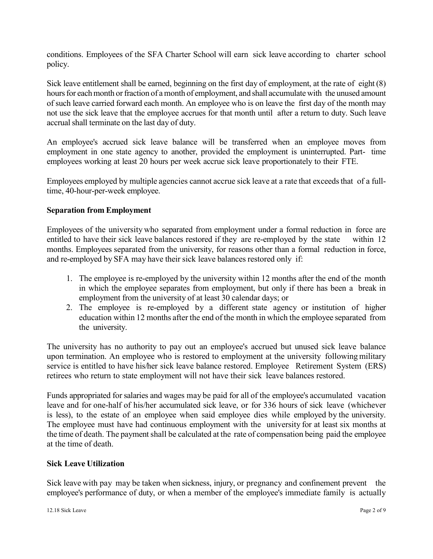conditions. Employees of the SFA Charter School will earn sick leave according to charter school policy.

Sick leave entitlement shall be earned, beginning on the first day of employment, at the rate of eight (8) hours for each month or fraction of a month of employment, and shall accumulate with the unused amount of such leave carried forward each month. An employee who is on leave the first day of the month may not use the sick leave that the employee accrues for that month until after a return to duty. Such leave accrual shall terminate on the last day of duty.

An employee's accrued sick leave balance will be transferred when an employee moves from employment in one state agency to another, provided the employment is uninterrupted. Part- time employees working at least 20 hours per week accrue sick leave proportionately to their FTE.

Employees employed by multiple agencies cannot accrue sick leave at a rate that exceeds that of a fulltime, 40-hour-per-week employee.

## **Separation from Employment**

Employees of the university who separated from employment under a formal reduction in force are entitled to have their sick leave balances restored if they are re-employed by the state within 12 months. Employees separated from the university, for reasons other than a formal reduction in force, and re-employed by SFA may have their sick leave balances restored only if:

- 1. The employee is re-employed by the university within 12 months after the end of the month in which the employee separates from employment, but only if there has been a break in employment from the university of at least 30 calendar days; or
- 2. The employee is re-employed by a different state agency or institution of higher education within 12 months after the end of the month in which the employee separated from the university.

The university has no authority to pay out an employee's accrued but unused sick leave balance upon termination. An employee who is restored to employment at the university followingmilitary service is entitled to have his/her sick leave balance restored. Employee Retirement System (ERS) retirees who return to state employment will not have their sick leave balances restored.

Funds appropriated for salaries and wages may be paid for all of the employee's accumulated vacation leave and for one-half of his/her accumulated sick leave, or for 336 hours of sick leave (whichever is less), to the estate of an employee when said employee dies while employed by the university. The employee must have had continuous employment with the university for at least six months at the time of death. The payment shall be calculated at the rate of compensation being paid the employee at the time of death.

#### **Sick Leave Utilization**

Sick leave with pay may be taken when sickness, injury, or pregnancy and confinement prevent the employee's performance of duty, or when a member of the employee's immediate family is actually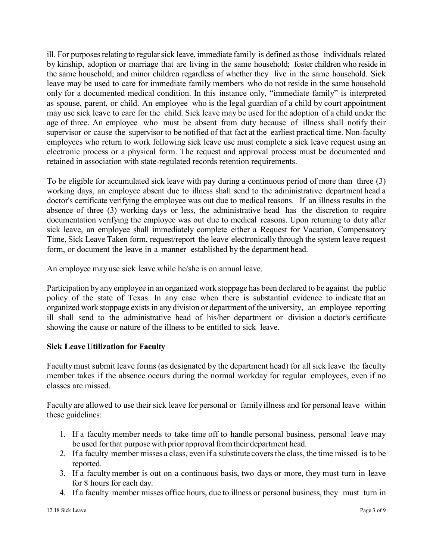ill. For purposes relating to regular sick leave, immediate family is defined as those individuals related by kinship, adoption or marriage that are living in the same household; foster children who reside in the same household; and minor children regardless of whether they live in the same household. Sick leave may be used to care for immediate family members who do not reside in the same household only for a documented medical condition. In this instance only, "immediate family" is interpreted as spouse, parent, or child. An employee who is the legal guardian of a child by court appointment may use sick leave to care for the child. Sick leave may be used for the adoption of a child under the age of three. An employee who must be absent from duty because of illness shall notify their supervisor or cause the supervisor to be notified of that fact at the earliest practical time. Non-faculty employees who return to work following sick leave use must complete a sick leave request using an electronic process or a physical form. The request and approval process must be documented and retained in association with state-regulated records retention requirements.

To be eligible for accumulated sick leave with pay during a continuous period of more than three (3) working days, an employee absent due to illness shall send to the administrative department head a doctor's certificate verifying the employee was out due to medical reasons. If an illness results in the absence of three (3) working days or less, the administrative head has the discretion to require documentation verifying the employee was out due to medical reasons. Upon returning to duty after sick leave, an employee shall immediately complete either a Request for Vacation, Compensatory Time, Sick Leave Taken form, request/report the leave electronically through the system leave request form, or document the leave in a manner established by the department head.

An employee may use sick leave while he/she is on annual leave.

Participation by any employee in an organized work stoppage has been declared to be against the public policy of the state of Texas. In any case when there is substantial evidence to indicate that an organized work stoppage existsin any division or department of the university, an employee reporting ill shall send to the administrative head of his/her department or division a doctor's certificate showing the cause or nature of the illness to be entitled to sick leave.

## **Sick Leave Utilization for Faculty**

Facultymust submit leave forms (as designated by the department head) for all sick leave the faculty member takes if the absence occurs during the normal workday for regular employees, even if no classes are missed.

Faculty are allowed to use their sick leave for personal or family illness and for personal leave within these guidelines:

- 1. If a faculty member needs to take time off to handle personal business, personal leave may be used forthat purpose with prior approval fromtheir department head.
- 2. If a faculty member misses a class, even if a substitute covers the class, the time missed is to be reported.
- 3. If a faculty member is out on a continuous basis, two days or more, they must turn in leave for 8 hours for each day.
- 4. If a faculty member misses office hours, due to illness or personal business, they must turn in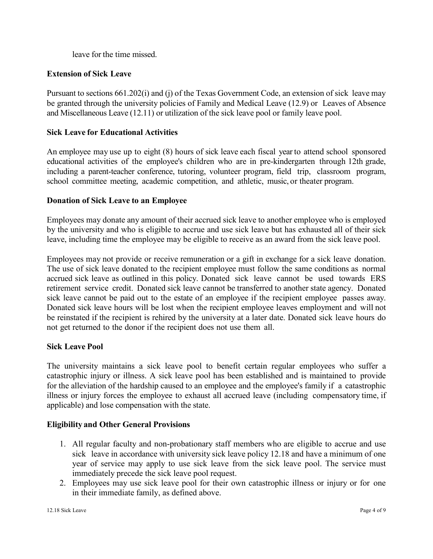leave for the time missed.

## **Extension of Sick Leave**

Pursuant to sections 661.202(i) and (j) of the Texas Government Code, an extension of sick leave may be granted through the university policies of Family and Medical Leave (12.9) or Leaves of Absence and Miscellaneous Leave (12.11) or utilization of the sick leave pool or family leave pool.

## **Sick Leave for Educational Activities**

An employee may use up to eight (8) hours of sick leave each fiscal year to attend school sponsored educational activities of the employee's children who are in pre-kindergarten through 12th grade, including a parent-teacher conference, tutoring, volunteer program, field trip, classroom program, school committee meeting, academic competition, and athletic, music, or theater program.

#### **Donation of Sick Leave to an Employee**

Employees may donate any amount of their accrued sick leave to another employee who is employed by the university and who is eligible to accrue and use sick leave but has exhausted all of their sick leave, including time the employee may be eligible to receive as an award from the sick leave pool.

Employees may not provide or receive remuneration or a gift in exchange for a sick leave donation. The use of sick leave donated to the recipient employee must follow the same conditions as normal accrued sick leave as outlined in this policy. Donated sick leave cannot be used towards ERS retirement service credit. Donated sick leave cannot be transferred to another state agency. Donated sick leave cannot be paid out to the estate of an employee if the recipient employee passes away. Donated sick leave hours will be lost when the recipient employee leaves employment and will not be reinstated if the recipient is rehired by the university at a later date. Donated sick leave hours do not get returned to the donor if the recipient does not use them all.

#### **Sick Leave Pool**

The university maintains a sick leave pool to benefit certain regular employees who suffer a catastrophic injury or illness. A sick leave pool has been established and is maintained to provide for the alleviation of the hardship caused to an employee and the employee's family if a catastrophic illness or injury forces the employee to exhaust all accrued leave (including compensatory time, if applicable) and lose compensation with the state.

#### **Eligibility and Other General Provisions**

- 1. All regular faculty and non-probationary staff members who are eligible to accrue and use sick leave in accordance with university sick leave policy 12.18 and have a minimum of one year of service may apply to use sick leave from the sick leave pool. The service must immediately precede the sick leave pool request.
- 2. Employees may use sick leave pool for their own catastrophic illness or injury or for one in their immediate family, as defined above.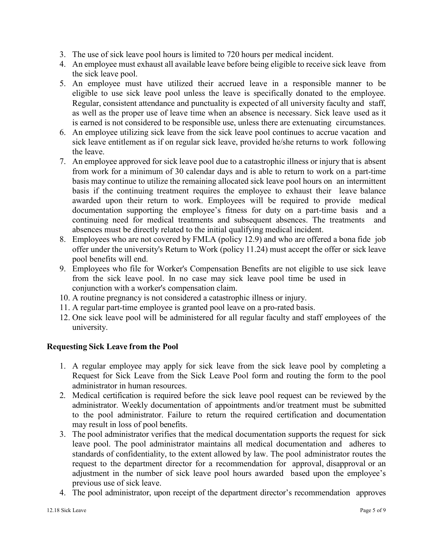- 3. The use of sick leave pool hours is limited to 720 hours per medical incident.
- 4. An employee must exhaust all available leave before being eligible to receive sick leave from the sick leave pool.
- 5. An employee must have utilized their accrued leave in a responsible manner to be eligible to use sick leave pool unless the leave is specifically donated to the employee. Regular, consistent attendance and punctuality is expected of all university faculty and staff, as well as the proper use of leave time when an absence is necessary. Sick leave used as it is earned is not considered to be responsible use, unless there are extenuating circumstances.
- 6. An employee utilizing sick leave from the sick leave pool continues to accrue vacation and sick leave entitlement as if on regular sick leave, provided he/she returns to work following the leave.
- 7. An employee approved for sick leave pool due to a catastrophic illness or injury that is absent from work for a minimum of 30 calendar days and is able to return to work on a part-time basis may continue to utilize the remaining allocated sick leave pool hours on an intermittent basis if the continuing treatment requires the employee to exhaust their leave balance awarded upon their return to work. Employees will be required to provide medical documentation supporting the employee's fitness for duty on a part-time basis and a continuing need for medical treatments and subsequent absences. The treatments and absences must be directly related to the initial qualifying medical incident.
- 8. Employees who are not covered by FMLA (policy 12.9) and who are offered a bona fide job offer under the university's Return to Work (policy 11.24) must accept the offer or sick leave pool benefits will end.
- 9. Employees who file for Worker's Compensation Benefits are not eligible to use sick leave from the sick leave pool. In no case may sick leave pool time be used in conjunction with a worker's compensation claim.
- 10. A routine pregnancy is not considered a catastrophic illness or injury.
- 11. A regular part-time employee is granted pool leave on a pro-rated basis.
- 12. One sick leave pool will be administered for all regular faculty and staff employees of the university.

## **Requesting Sick Leave from the Pool**

- 1. A regular employee may apply for sick leave from the sick leave pool by completing a Request for Sick Leave from the Sick Leave Pool form and routing the form to the pool administrator in human resources.
- 2. Medical certification is required before the sick leave pool request can be reviewed by the administrator. Weekly documentation of appointments and/or treatment must be submitted to the pool administrator. Failure to return the required certification and documentation may result in loss of pool benefits.
- 3. The pool administrator verifies that the medical documentation supports the request for sick leave pool. The pool administrator maintains all medical documentation and adheres to standards of confidentiality, to the extent allowed by law. The pool administrator routes the request to the department director for a recommendation for approval, disapproval or an adjustment in the number of sick leave pool hours awarded based upon the employee's previous use of sick leave.
- 4. The pool administrator, upon receipt of the department director's recommendation approves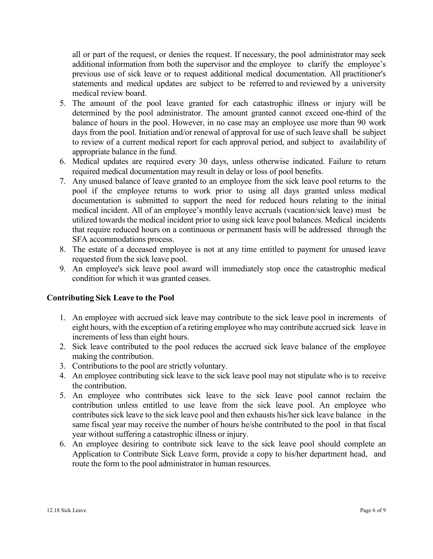all or part of the request, or denies the request. If necessary, the pool administrator may seek additional information from both the supervisor and the employee to clarify the employee's previous use of sick leave or to request additional medical documentation. All practitioner's statements and medical updates are subject to be referred to and reviewed by a university medical review board.

- 5. The amount of the pool leave granted for each catastrophic illness or injury will be determined by the pool administrator. The amount granted cannot exceed one-third of the balance of hours in the pool. However, in no case may an employee use more than 90 work days from the pool. Initiation and/or renewal of approval for use of such leave shall be subject to review of a current medical report for each approval period, and subject to availability of appropriate balance in the fund.
- 6. Medical updates are required every 30 days, unless otherwise indicated. Failure to return required medical documentation may result in delay or loss of pool benefits.
- 7. Any unused balance of leave granted to an employee from the sick leave pool returns to the pool if the employee returns to work prior to using all days granted unless medical documentation is submitted to support the need for reduced hours relating to the initial medical incident. All of an employee's monthly leave accruals (vacation/sick leave) must be utilized towards the medical incident prior to using sick leave pool balances. Medical incidents that require reduced hours on a continuous or permanent basis will be addressed through the SFA accommodations process.
- 8. The estate of a deceased employee is not at any time entitled to payment for unused leave requested from the sick leave pool.
- 9. An employee's sick leave pool award will immediately stop once the catastrophic medical condition for which it was granted ceases.

#### **Contributing Sick Leave to the Pool**

- 1. An employee with accrued sick leave may contribute to the sick leave pool in increments of eight hours, with the exception of a retiring employee who may contribute accrued sick leave in increments of less than eight hours.
- 2. Sick leave contributed to the pool reduces the accrued sick leave balance of the employee making the contribution.
- 3. Contributions to the pool are strictly voluntary.
- 4. An employee contributing sick leave to the sick leave pool may not stipulate who is to receive the contribution.
- 5. An employee who contributes sick leave to the sick leave pool cannot reclaim the contribution unless entitled to use leave from the sick leave pool. An employee who contributes sick leave to the sick leave pool and then exhausts his/her sick leave balance in the same fiscal year may receive the number of hours he/she contributed to the pool in that fiscal year without suffering a catastrophic illness or injury.
- 6. An employee desiring to contribute sick leave to the sick leave pool should complete an Application to Contribute Sick Leave form, provide a copy to his/her department head, and route the form to the pool administrator in human resources.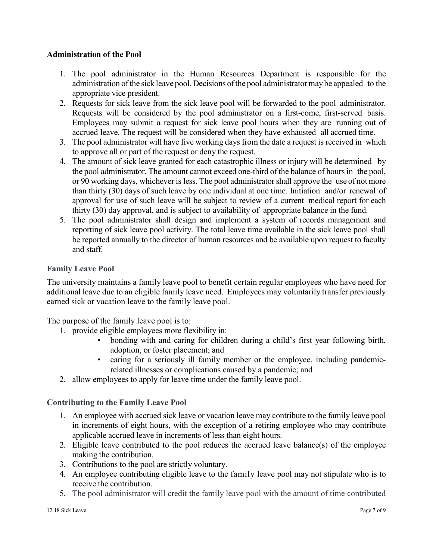## **Administration of the Pool**

- 1. The pool administrator in the Human Resources Department is responsible for the administration ofthe sick leave pool. Decisions ofthe pool administratormay be appealed to the appropriate vice president.
- 2. Requests for sick leave from the sick leave pool will be forwarded to the pool administrator. Requests will be considered by the pool administrator on a first-come, first-served basis. Employees may submit a request for sick leave pool hours when they are running out of accrued leave. The request will be considered when they have exhausted all accrued time.
- 3. The pool administrator will have five working days from the date a request is received in which to approve all or part of the request or deny the request.
- 4. The amount of sick leave granted for each catastrophic illness or injury will be determined by the pool administrator. The amount cannot exceed one-third of the balance of hoursin the pool, or 90 working days, whichever is less. The pool administratorshall approve the use of not more than thirty (30) days of such leave by one individual at one time. Initiation and/or renewal of approval for use of such leave will be subject to review of a current medical report for each thirty (30) day approval, and is subject to availability of appropriate balance in the fund.
- 5. The pool administrator shall design and implement a system of records management and reporting of sick leave pool activity. The total leave time available in the sick leave pool shall be reported annually to the director of human resources and be available upon request to faculty and staff.

## **Family Leave Pool**

The university maintains a family leave pool to benefit certain regular employees who have need for additional leave due to an eligible family leave need. Employees may voluntarily transfer previously earned sick or vacation leave to the family leave pool.

The purpose of the family leave pool is to:

- 1. provide eligible employees more flexibility in:
	- bonding with and caring for children during a child's first year following birth, adoption, or foster placement; and
	- caring for a seriously ill family member or the employee, including pandemicrelated illnesses or complications caused by a pandemic; and
- 2. allow employees to apply for leave time under the family leave pool.

#### **Contributing to the Family Leave Pool**

- 1. An employee with accrued sick leave or vacation leave may contribute to the family leave pool in increments of eight hours, with the exception of a retiring employee who may contribute applicable accrued leave in increments of less than eight hours.
- 2. Eligible leave contributed to the pool reduces the accrued leave balance(s) of the employee making the contribution.
- 3. Contributions to the pool are strictly voluntary.
- 4. An employee contributing eligible leave to the family leave pool may not stipulate who is to receive the contribution.
- 5. The pool administrator will credit the family leave pool with the amount of time contributed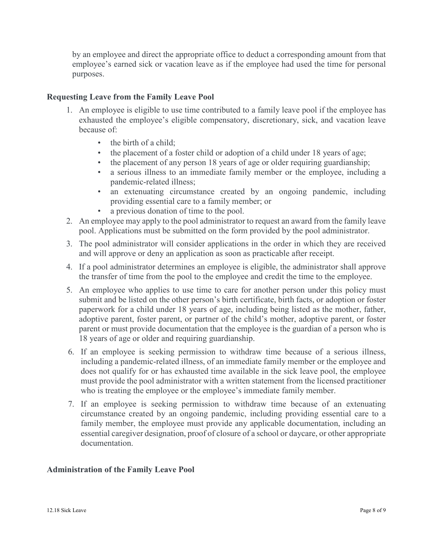by an employee and direct the appropriate office to deduct a corresponding amount from that employee's earned sick or vacation leave as if the employee had used the time for personal purposes.

## **Requesting Leave from the Family Leave Pool**

- 1. An employee is eligible to use time contributed to a family leave pool if the employee has exhausted the employee's eligible compensatory, discretionary, sick, and vacation leave because of:
	- the birth of a child;
	- the placement of a foster child or adoption of a child under 18 years of age;
	- the placement of any person 18 years of age or older requiring guardianship;
	- a serious illness to an immediate family member or the employee, including a pandemic-related illness;
	- an extenuating circumstance created by an ongoing pandemic, including providing essential care to a family member; or
	- a previous donation of time to the pool.
- 2. An employee may apply to the pool administrator to request an award from the family leave pool. Applications must be submitted on the form provided by the pool administrator.
- 3. The pool administrator will consider applications in the order in which they are received and will approve or deny an application as soon as practicable after receipt.
- 4. If a pool administrator determines an employee is eligible, the administrator shall approve the transfer of time from the pool to the employee and credit the time to the employee.
- 5. An employee who applies to use time to care for another person under this policy must submit and be listed on the other person's birth certificate, birth facts, or adoption or foster paperwork for a child under 18 years of age, including being listed as the mother, father, adoptive parent, foster parent, or partner of the child's mother, adoptive parent, or foster parent or must provide documentation that the employee is the guardian of a person who is 18 years of age or older and requiring guardianship.
- 6. If an employee is seeking permission to withdraw time because of a serious illness, including a pandemic-related illness, of an immediate family member or the employee and does not qualify for or has exhausted time available in the sick leave pool, the employee must provide the pool administrator with a written statement from the licensed practitioner who is treating the employee or the employee's immediate family member.
- 7. If an employee is seeking permission to withdraw time because of an extenuating circumstance created by an ongoing pandemic, including providing essential care to a family member, the employee must provide any applicable documentation, including an essential caregiver designation, proof of closure of a school or daycare, or other appropriate documentation.

#### **Administration of the Family Leave Pool**